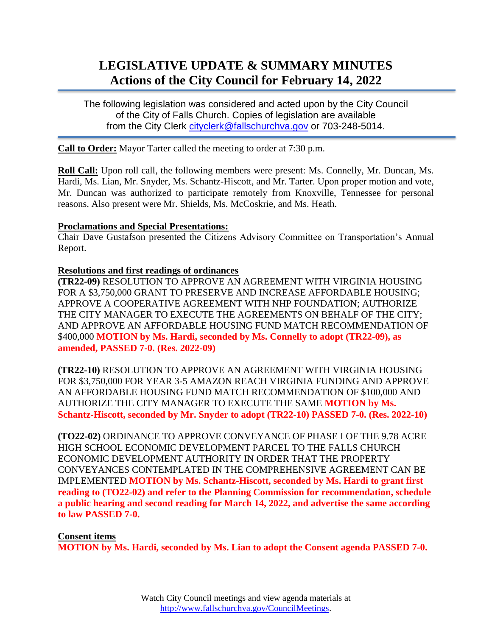# **LEGISLATIVE UPDATE & SUMMARY MINUTES Actions of the City Council for February 14, 2022**

The following legislation was considered and acted upon by the City Council of the City of Falls Church. Copies of legislation are available from the City Clerk [cityclerk@fallschurchva.gov](mailto:cityclerk@fallschurchva.gov) or 703-248-5014.

**Call to Order:** Mayor Tarter called the meeting to order at 7:30 p.m.

**Roll Call:** Upon roll call, the following members were present: Ms. Connelly, Mr. Duncan, Ms. Hardi, Ms. Lian, Mr. Snyder, Ms. Schantz-Hiscott, and Mr. Tarter. Upon proper motion and vote, Mr. Duncan was authorized to participate remotely from Knoxville, Tennessee for personal reasons. Also present were Mr. Shields, Ms. McCoskrie, and Ms. Heath.

#### **Proclamations and Special Presentations:**

Chair Dave Gustafson presented the Citizens Advisory Committee on Transportation's Annual Report.

#### **Resolutions and first readings of ordinances**

**(TR22-09)** RESOLUTION TO APPROVE AN AGREEMENT WITH VIRGINIA HOUSING FOR A \$3,750,000 GRANT TO PRESERVE AND INCREASE AFFORDABLE HOUSING; APPROVE A COOPERATIVE AGREEMENT WITH NHP FOUNDATION; AUTHORIZE THE CITY MANAGER TO EXECUTE THE AGREEMENTS ON BEHALF OF THE CITY; AND APPROVE AN AFFORDABLE HOUSING FUND MATCH RECOMMENDATION OF \$400,000 **MOTION by Ms. Hardi, seconded by Ms. Connelly to adopt (TR22-09), as amended, PASSED 7-0. (Res. 2022-09)**

**(TR22-10)** RESOLUTION TO APPROVE AN AGREEMENT WITH VIRGINIA HOUSING FOR \$3,750,000 FOR YEAR 3-5 AMAZON REACH VIRGINIA FUNDING AND APPROVE AN AFFORDABLE HOUSING FUND MATCH RECOMMENDATION OF \$100,000 AND AUTHORIZE THE CITY MANAGER TO EXECUTE THE SAME **MOTION by Ms. Schantz-Hiscott, seconded by Mr. Snyder to adopt (TR22-10) PASSED 7-0. (Res. 2022-10)**

**(TO22-02)** ORDINANCE TO APPROVE CONVEYANCE OF PHASE I OF THE 9.78 ACRE HIGH SCHOOL ECONOMIC DEVELOPMENT PARCEL TO THE FALLS CHURCH ECONOMIC DEVELOPMENT AUTHORITY IN ORDER THAT THE PROPERTY CONVEYANCES CONTEMPLATED IN THE COMPREHENSIVE AGREEMENT CAN BE IMPLEMENTED **MOTION by Ms. Schantz-Hiscott, seconded by Ms. Hardi to grant first reading to (TO22-02) and refer to the Planning Commission for recommendation, schedule a public hearing and second reading for March 14, 2022, and advertise the same according to law PASSED 7-0.**

## **Consent items**

**MOTION by Ms. Hardi, seconded by Ms. Lian to adopt the Consent agenda PASSED 7-0.**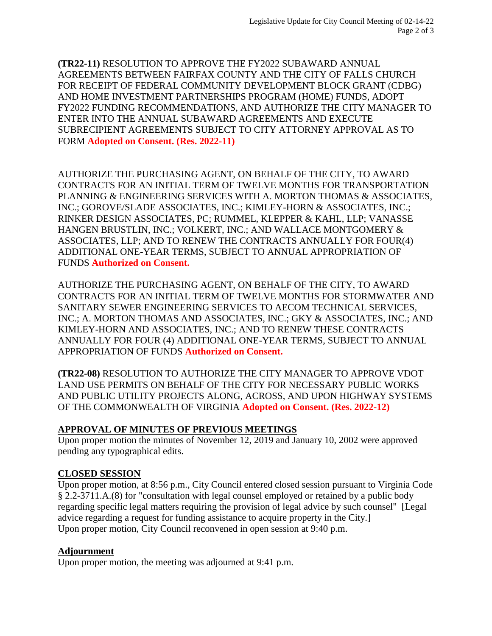**(TR22-11)** RESOLUTION TO APPROVE THE FY2022 SUBAWARD ANNUAL AGREEMENTS BETWEEN FAIRFAX COUNTY AND THE CITY OF FALLS CHURCH FOR RECEIPT OF FEDERAL COMMUNITY DEVELOPMENT BLOCK GRANT (CDBG) AND HOME INVESTMENT PARTNERSHIPS PROGRAM (HOME) FUNDS, ADOPT FY2022 FUNDING RECOMMENDATIONS, AND AUTHORIZE THE CITY MANAGER TO ENTER INTO THE ANNUAL SUBAWARD AGREEMENTS AND EXECUTE SUBRECIPIENT AGREEMENTS SUBJECT TO CITY ATTORNEY APPROVAL AS TO FORM **Adopted on Consent. (Res. 2022-11)**

AUTHORIZE THE PURCHASING AGENT, ON BEHALF OF THE CITY, TO AWARD CONTRACTS FOR AN INITIAL TERM OF TWELVE MONTHS FOR TRANSPORTATION PLANNING & ENGINEERING SERVICES WITH A. MORTON THOMAS & ASSOCIATES, INC.; GOROVE/SLADE ASSOCIATES, INC.; KIMLEY-HORN & ASSOCIATES, INC.; RINKER DESIGN ASSOCIATES, PC; RUMMEL, KLEPPER & KAHL, LLP; VANASSE HANGEN BRUSTLIN, INC.; VOLKERT, INC.; AND WALLACE MONTGOMERY & ASSOCIATES, LLP; AND TO RENEW THE CONTRACTS ANNUALLY FOR FOUR(4) ADDITIONAL ONE-YEAR TERMS, SUBJECT TO ANNUAL APPROPRIATION OF FUNDS **Authorized on Consent.**

AUTHORIZE THE PURCHASING AGENT, ON BEHALF OF THE CITY, TO AWARD CONTRACTS FOR AN INITIAL TERM OF TWELVE MONTHS FOR STORMWATER AND SANITARY SEWER ENGINEERING SERVICES TO AECOM TECHNICAL SERVICES, INC.; A. MORTON THOMAS AND ASSOCIATES, INC.; GKY & ASSOCIATES, INC.; AND KIMLEY-HORN AND ASSOCIATES, INC.; AND TO RENEW THESE CONTRACTS ANNUALLY FOR FOUR (4) ADDITIONAL ONE-YEAR TERMS, SUBJECT TO ANNUAL APPROPRIATION OF FUNDS **Authorized on Consent.**

**(TR22-08)** RESOLUTION TO AUTHORIZE THE CITY MANAGER TO APPROVE VDOT LAND USE PERMITS ON BEHALF OF THE CITY FOR NECESSARY PUBLIC WORKS AND PUBLIC UTILITY PROJECTS ALONG, ACROSS, AND UPON HIGHWAY SYSTEMS OF THE COMMONWEALTH OF VIRGINIA **Adopted on Consent. (Res. 2022-12)**

# **APPROVAL OF MINUTES OF PREVIOUS MEETINGS**

Upon proper motion the minutes of November 12, 2019 and January 10, 2002 were approved pending any typographical edits.

## **CLOSED SESSION**

Upon proper motion, at 8:56 p.m., City Council entered closed session pursuant to Virginia Code § 2.2-3711.A.(8) for "consultation with legal counsel employed or retained by a public body regarding specific legal matters requiring the provision of legal advice by such counsel" [Legal advice regarding a request for funding assistance to acquire property in the City.] Upon proper motion, City Council reconvened in open session at 9:40 p.m.

# **Adjournment**

Upon proper motion, the meeting was adjourned at 9:41 p.m.